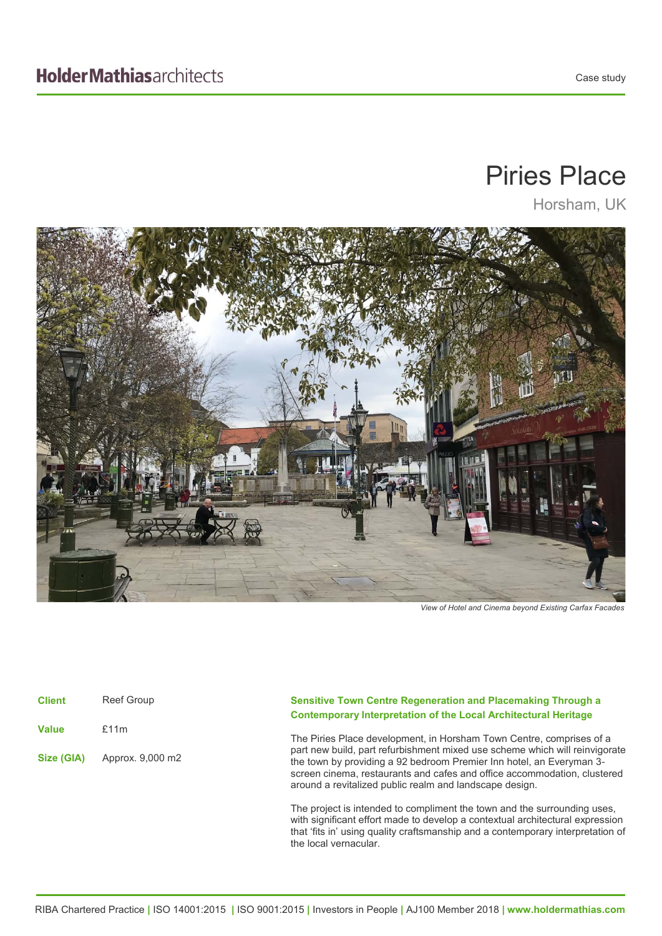## Piries Place

Horsham, UK



*View of Hotel and Cinema beyond Existing Carfax Facades* 

| <b>Client</b> | <b>Reef Group</b> |
|---------------|-------------------|
| <b>Value</b>  | £11m              |
| Size (GIA)    | Approx. 9,000 m2  |

## **Sensitive Town Centre Regeneration and Placemaking Through a Contemporary Interpretation of the Local Architectural Heritage**

The Piries Place development, in Horsham Town Centre, comprises of a part new build, part refurbishment mixed use scheme which will reinvigorate the town by providing a 92 bedroom Premier Inn hotel, an Everyman 3 screen cinema, restaurants and cafes and office accommodation, clustered around a revitalized public realm and landscape design.

The project is intended to compliment the town and the surrounding uses, with significant effort made to develop a contextual architectural expression that 'fits in' using quality craftsmanship and a contemporary interpretation of the local vernacular.